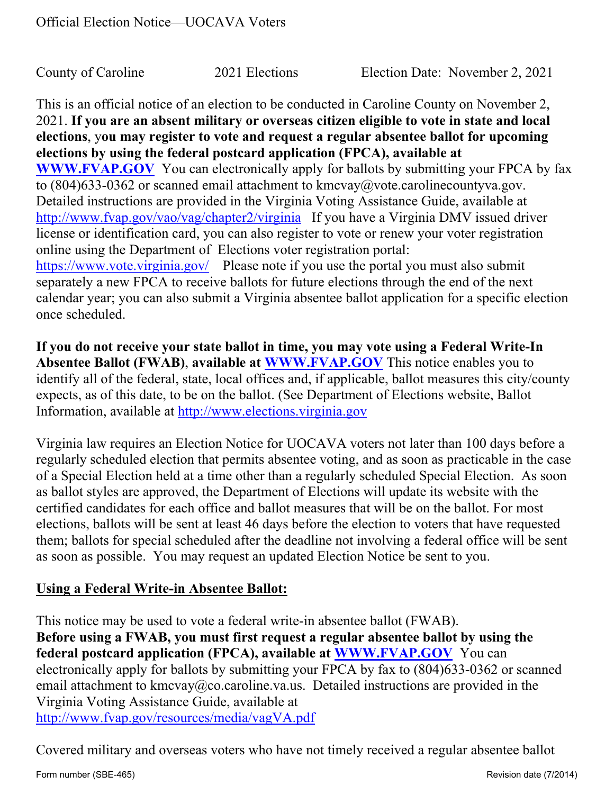This is an official notice of an election to be conducted in Caroline County on November 2, 2021. **If you are an absent military or overseas citizen eligible to vote in state and local elections**, y**ou may register to vote and request a regular absentee ballot for upcoming elections by using the federal postcard application (FPCA), available at WWW.FVAP.GOV** You can electronically apply for ballots by submitting your FPCA by fax to  $(804)633-0362$  or scanned email attachment to kmcvay@vote.carolinecountyva.gov. Detailed instructions are provided in the Virginia Voting Assistance Guide, available at http://www.fvap.gov/vao/vag/chapter2/virginia If you have a Virginia DMV issued driver license or identification card, you can also register to vote or renew your voter registration online using the Department of Elections voter registration portal: https://www.vote.virginia.gov/ Please note if you use the portal you must also submit separately a new FPCA to receive ballots for future elections through the end of the next calendar year; you can also submit a Virginia absentee ballot application for a specific election once scheduled.

**If you do not receive your state ballot in time, you may vote using a Federal Write-In Absentee Ballot (FWAB)**, **available at WWW.FVAP.GOV** This notice enables you to identify all of the federal, state, local offices and, if applicable, ballot measures this city/county expects, as of this date, to be on the ballot. (See Department of Elections website, Ballot Information, available at http://www.elections.virginia.gov

Virginia law requires an Election Notice for UOCAVA voters not later than 100 days before a regularly scheduled election that permits absentee voting, and as soon as practicable in the case of a Special Election held at a time other than a regularly scheduled Special Election. As soon as ballot styles are approved, the Department of Elections will update its website with the certified candidates for each office and ballot measures that will be on the ballot. For most elections, ballots will be sent at least 46 days before the election to voters that have requested them; ballots for special scheduled after the deadline not involving a federal office will be sent as soon as possible. You may request an updated Election Notice be sent to you.

## **Using a Federal Write-in Absentee Ballot:**

This notice may be used to vote a federal write-in absentee ballot (FWAB). **Before using a FWAB, you must first request a regular absentee ballot by using the federal postcard application (FPCA), available at WWW.FVAP.GOV** You can electronically apply for ballots by submitting your FPCA by fax to (804)633-0362 or scanned email attachment to kmcvay@co.caroline.va.us. Detailed instructions are provided in the Virginia Voting Assistance Guide, available at http://www.fvap.gov/resources/media/vagVA.pdf

Covered military and overseas voters who have not timely received a regular absentee ballot

Form number (SBE-465) **Review of Strutter (SBE-465)** Revision date (7/2014)